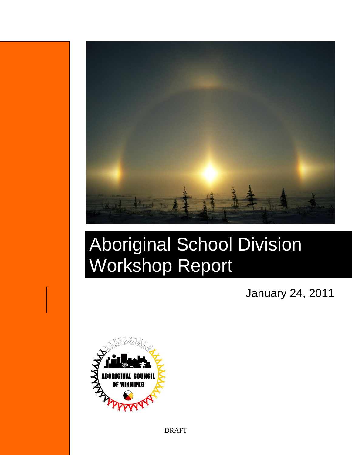

# Aboriginal School Division Workshop Report

January 24, 2011



DRAFT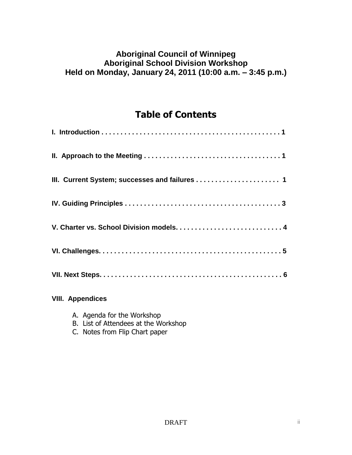# **Aboriginal Council of Winnipeg Aboriginal School Division Workshop Held on Monday, January 24, 2011 (10:00 a.m. – 3:45 p.m.)**

# **Table of Contents**

| III. Current System; successes and failures  1 |
|------------------------------------------------|
|                                                |
|                                                |
|                                                |
|                                                |
| <b>VIII. Appendices</b>                        |

- A. Agenda for the Workshop
- B. List of Attendees at the Workshop
- C. Notes from Flip Chart paper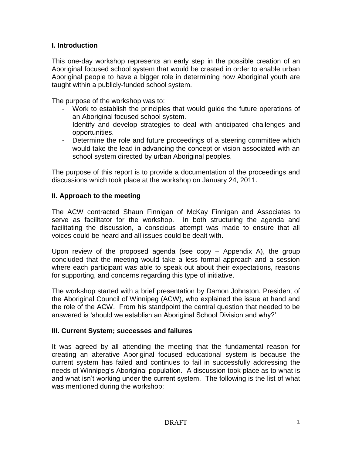#### **I. Introduction**

This one-day workshop represents an early step in the possible creation of an Aboriginal focused school system that would be created in order to enable urban Aboriginal people to have a bigger role in determining how Aboriginal youth are taught within a publicly-funded school system.

The purpose of the workshop was to:

- Work to establish the principles that would guide the future operations of an Aboriginal focused school system.
- Identify and develop strategies to deal with anticipated challenges and opportunities.
- Determine the role and future proceedings of a steering committee which would take the lead in advancing the concept or vision associated with an school system directed by urban Aboriginal peoples.

The purpose of this report is to provide a documentation of the proceedings and discussions which took place at the workshop on January 24, 2011.

#### **II. Approach to the meeting**

The ACW contracted Shaun Finnigan of McKay Finnigan and Associates to serve as facilitator for the workshop. In both structuring the agenda and facilitating the discussion, a conscious attempt was made to ensure that all voices could be heard and all issues could be dealt with.

Upon review of the proposed agenda (see copy – Appendix A), the group concluded that the meeting would take a less formal approach and a session where each participant was able to speak out about their expectations, reasons for supporting, and concerns regarding this type of initiative.

The workshop started with a brief presentation by Damon Johnston, President of the Aboriginal Council of Winnipeg (ACW), who explained the issue at hand and the role of the ACW. From his standpoint the central question that needed to be answered is 'should we establish an Aboriginal School Division and why?'

#### **III. Current System; successes and failures**

It was agreed by all attending the meeting that the fundamental reason for creating an alterative Aboriginal focused educational system is because the current system has failed and continues to fail in successfully addressing the needs of Winnipeg's Aboriginal population. A discussion took place as to what is and what isn't working under the current system. The following is the list of what was mentioned during the workshop: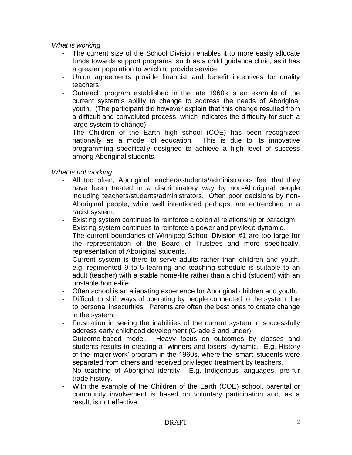*What is working*

- The current size of the School Division enables it to more easily allocate funds towards support programs, such as a child guidance clinic, as it has a greater population to which to provide service.
- Union agreements provide financial and benefit incentives for quality teachers.
- Outreach program established in the late 1960s is an example of the current system's ability to change to address the needs of Aboriginal youth. (The participant did however explain that this change resulted from a difficult and convoluted process, which indicates the difficulty for such a large system to change).
- The Children of the Earth high school (COE) has been recognized nationally as a model of education. This is due to its innovative programming specifically designed to achieve a high level of success among Aboriginal students.

#### *What is not working*

- All too often, Aboriginal teachers/students/administrators feel that they have been treated in a discriminatory way by non-Aboriginal people including teachers/students/administrators. Often poor decisions by non-Aboriginal people, while well intentioned perhaps, are entrenched in a racist system.
- Existing system continues to reinforce a colonial relationship or paradigm.
- Existing system continues to reinforce a power and privilege dynamic.
- The current boundaries of Winnipeg School Division #1 are too large for the representation of the Board of Trustees and more specifically, representation of Aboriginal students.
- Current system is there to serve adults rather than children and youth. e.g. regimented 9 to 5 learning and teaching schedule is suitable to an adult (teacher) with a stable home-life rather than a child (student) with an unstable home-life.
- Often school is an alienating experience for Aboriginal children and youth.
- Difficult to shift ways of operating by people connected to the system due to personal insecurities. Parents are often the best ones to create change in the system.
- Frustration in seeing the inabilities of the current system to successfully address early childhood development (Grade 3 and under).
- Outcome-based model. Heavy focus on outcomes by classes and students results in creating a "winners and losers" dynamic. E.g. History of the 'major work' program in the 1960s, where the 'smart' students were separated from others and received privileged treatment by teachers.
- No teaching of Aboriginal identity. E.g. Indigenous languages, pre-fur trade history.
- With the example of the Children of the Earth (COE) school, parental or community involvement is based on voluntary participation and, as a result, is not effective.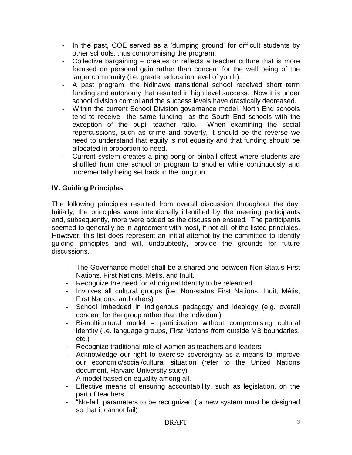- In the past, COE served as a 'dumping ground' for difficult students by other schools, thus compromising the program.
- Collective bargaining creates or reflects a teacher culture that is more focused on personal gain rather than concern for the well being of the larger community (i.e. greater education level of youth).
- A past program; the Ndinawe transitional school received short term funding and autonomy that resulted in high level success. Now it is under school division control and the success levels have drastically decreased.
- Within the current School Division governance model, North End schools tend to receive the same funding as the South End schools with the exception of the pupil teacher ratio. When examining the social repercussions, such as crime and poverty, it should be the reverse we need to understand that equity is not equality and that funding should be allocated in proportion to need.
- Current system creates a ping-pong or pinball effect where students are shuffled from one school or program to another while continuously and incrementally being set back in the long run.

# **IV. Guiding Principles**

The following principles resulted from overall discussion throughout the day. Initially, the principles were intentionally identified by the meeting participants and, subsequently, more were added as the discussion ensued. The participants seemed to generally be in agreement with most, if not all, of the listed principles. However, this list does represent an initial attempt by the committee to identify guiding principles and will, undoubtedly, provide the grounds for future discussions.

- The Governance model shall be a shared one between Non-Status First Nations, First Nations, Métis, and Inuit.
- Recognize the need for Aboriginal Identity to be relearned.
- Involves all cultural groups (i.e. Non-status First Nations, Inuit, Métis, First Nations, and others)
- School imbedded in Indigenous pedagogy and ideology (e.g. overall concern for the group rather than the individual).
- Bi-multicultural model participation without compromising cultural identity (i.e. language groups, First Nations from outside MB boundaries, etc.)
- Recognize traditional role of women as teachers and leaders.
- Acknowledge our right to exercise sovereignty as a means to improve our economic/social/cultural situation (refer to the United Nations document, Harvard University study)
- A model based on equality among all.
- Effective means of ensuring accountability, such as legislation, on the part of teachers.
- "No-fail" parameters to be recognized ( a new system must be designed so that it cannot fail)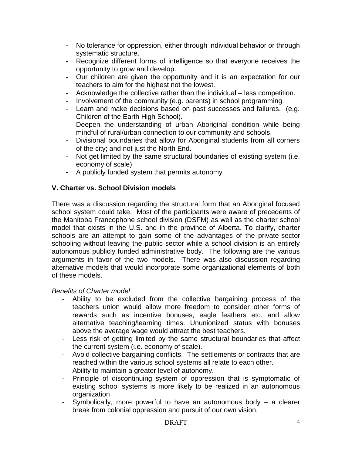- No tolerance for oppression, either through individual behavior or through systematic structure.
- Recognize different forms of intelligence so that everyone receives the opportunity to grow and develop.
- Our children are given the opportunity and it is an expectation for our teachers to aim for the highest not the lowest.
- Acknowledge the collective rather than the individual less competition.
- Involvement of the community (e.g. parents) in school programming.
- Learn and make decisions based on past successes and failures. (e.g. Children of the Earth High School).
- Deepen the understanding of urban Aboriginal condition while being mindful of rural/urban connection to our community and schools.
- Divisional boundaries that allow for Aboriginal students from all corners of the city; and not just the North End.
- Not get limited by the same structural boundaries of existing system (i.e. economy of scale)
- A publicly funded system that permits autonomy

## **V. Charter vs. School Division models**

There was a discussion regarding the structural form that an Aboriginal focused school system could take. Most of the participants were aware of precedents of the Manitoba Francophone school division (DSFM) as well as the charter school model that exists in the U.S. and in the province of Alberta. To clarify, charter schools are an attempt to gain some of the advantages of the private-sector schooling without leaving the public sector while a school division is an entirely autonomous publicly funded administrative body. The following are the various arguments in favor of the two models. There was also discussion regarding alternative models that would incorporate some organizational elements of both of these models.

#### *Benefits of Charter model*

- Ability to be excluded from the collective bargaining process of the teachers union would allow more freedom to consider other forms of rewards such as incentive bonuses, eagle feathers etc. and allow alternative teaching/learning times. Ununionized status with bonuses above the average wage would attract the best teachers.
- Less risk of getting limited by the same structural boundaries that affect the current system (i.e. economy of scale).
- Avoid collective bargaining conflicts. The settlements or contracts that are reached within the various school systems all relate to each other.
- Ability to maintain a greater level of autonomy.
- Principle of discontinuing system of oppression that is symptomatic of existing school systems is more likely to be realized in an autonomous organization
- Symbolically, more powerful to have an autonomous body a clearer break from colonial oppression and pursuit of our own vision.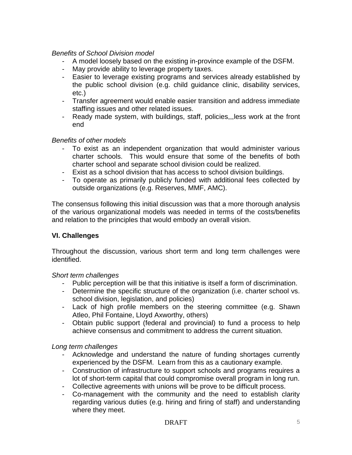#### *Benefits of School Division model*

- A model loosely based on the existing in-province example of the DSFM.
- May provide ability to leverage property taxes.
- Easier to leverage existing programs and services already established by the public school division (e.g. child guidance clinic, disability services, etc.)
- Transfer agreement would enable easier transition and address immediate staffing issues and other related issues.
- Ready made system, with buildings, staff, policies,,,less work at the front end

#### *Benefits of other models*

- To exist as an independent organization that would administer various charter schools. This would ensure that some of the benefits of both charter school and separate school division could be realized.
- Exist as a school division that has access to school division buildings.
- To operate as primarily publicly funded with additional fees collected by outside organizations (e.g. Reserves, MMF, AMC).

The consensus following this initial discussion was that a more thorough analysis of the various organizational models was needed in terms of the costs/benefits and relation to the principles that would embody an overall vision.

#### **VI. Challenges**

Throughout the discussion, various short term and long term challenges were identified.

#### *Short term challenges*

- Public perception will be that this initiative is itself a form of discrimination.
- Determine the specific structure of the organization (i.e. charter school vs. school division, legislation, and policies)
- Lack of high profile members on the steering committee (e.g. Shawn Atleo, Phil Fontaine, Lloyd Axworthy, others)
- Obtain public support (federal and provincial) to fund a process to help achieve consensus and commitment to address the current situation.

#### *Long term challenges*

- Acknowledge and understand the nature of funding shortages currently experienced by the DSFM. Learn from this as a cautionary example.
- Construction of infrastructure to support schools and programs requires a lot of short-term capital that could compromise overall program in long run.
- Collective agreements with unions will be prove to be difficult process.
- Co-management with the community and the need to establish clarity regarding various duties (e.g. hiring and firing of staff) and understanding where they meet.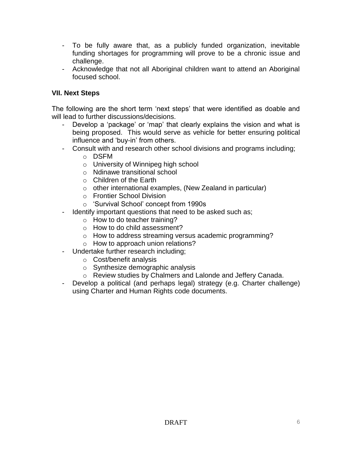- To be fully aware that, as a publicly funded organization, inevitable funding shortages for programming will prove to be a chronic issue and challenge.
- Acknowledge that not all Aboriginal children want to attend an Aboriginal focused school.

#### **VII. Next Steps**

The following are the short term 'next steps' that were identified as doable and will lead to further discussions/decisions.

- Develop a 'package' or 'map' that clearly explains the vision and what is being proposed. This would serve as vehicle for better ensuring political influence and 'buy-in' from others.
- Consult with and research other school divisions and programs including;
	- o DSFM
	- o University of Winnipeg high school
	- o Ndinawe transitional school
	- o Children of the Earth
	- $\circ$  other international examples, (New Zealand in particular)
	- o Frontier School Division
	- o 'Survival School' concept from 1990s
- Identify important questions that need to be asked such as:
	- o How to do teacher training?
	- o How to do child assessment?
	- o How to address streaming versus academic programming?
	- o How to approach union relations?
- Undertake further research including;
	- o Cost/benefit analysis
	- o Synthesize demographic analysis
	- o Review studies by Chalmers and Lalonde and Jeffery Canada.
- Develop a political (and perhaps legal) strategy (e.g. Charter challenge) using Charter and Human Rights code documents.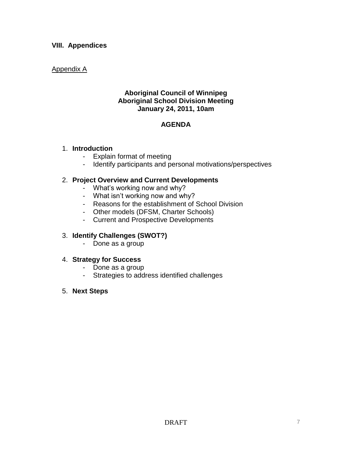#### **VIII. Appendices**

#### Appendix A

#### **Aboriginal Council of Winnipeg Aboriginal School Division Meeting January 24, 2011, 10am**

## **AGENDA**

#### 1. **Introduction**

- Explain format of meeting
- Identify participants and personal motivations/perspectives

#### 2. **Project Overview and Current Developments**

- What's working now and why?
- What isn't working now and why?
- Reasons for the establishment of School Division
- Other models (DFSM, Charter Schools)
- Current and Prospective Developments

#### 3. **Identify Challenges (SWOT?)**

- Done as a group

#### 4. **Strategy for Success**

- Done as a group
- Strategies to address identified challenges

#### 5. **Next Steps**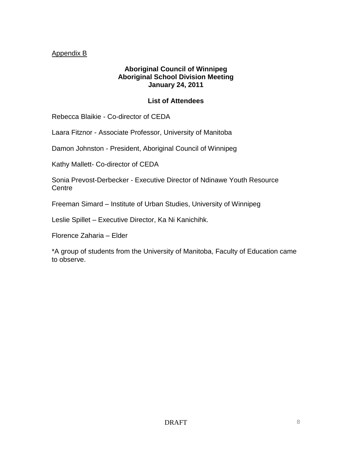## Appendix B

#### **Aboriginal Council of Winnipeg Aboriginal School Division Meeting January 24, 2011**

#### **List of Attendees**

Rebecca Blaikie - Co-director of CEDA

Laara Fitznor - Associate Professor, University of Manitoba

Damon Johnston - President, Aboriginal Council of Winnipeg

Kathy Mallett- Co-director of CEDA

Sonia Prevost-Derbecker - Executive Director of Ndinawe Youth Resource **Centre** 

Freeman Simard – Institute of Urban Studies, University of Winnipeg

Leslie Spillet – Executive Director, Ka Ni Kanichihk.

Florence Zaharia – Elder

\*A group of students from the University of Manitoba, Faculty of Education came to observe.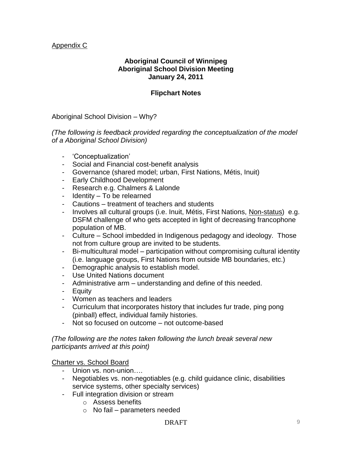#### Appendix C

#### **Aboriginal Council of Winnipeg Aboriginal School Division Meeting January 24, 2011**

#### **Flipchart Notes**

Aboriginal School Division – Why?

*(The following is feedback provided regarding the conceptualization of the model of a Aboriginal School Division)*

- 'Conceptualization'
- Social and Financial cost-benefit analysis
- Governance (shared model; urban, First Nations, Métis, Inuit)
- Early Childhood Development
- Research e.g. Chalmers & Lalonde
- Identity To be relearned
- Cautions treatment of teachers and students
- Involves all cultural groups (i.e. Inuit, Métis, First Nations, Non-status) e.g. DSFM challenge of who gets accepted in light of decreasing francophone population of MB.
- Culture School imbedded in Indigenous pedagogy and ideology. Those not from culture group are invited to be students.
- Bi-multicultural model participation without compromising cultural identity (i.e. language groups, First Nations from outside MB boundaries, etc.)
- Demographic analysis to establish model.
- Use United Nations document
- Administrative arm understanding and define of this needed.
- Equity
- Women as teachers and leaders
- Curriculum that incorporates history that includes fur trade, ping pong (pinball) effect, individual family histories.
- Not so focused on outcome not outcome-based

*(The following are the notes taken following the lunch break several new participants arrived at this point)*

Charter vs. School Board

- Union vs. non-union….
- Negotiables vs. non-negotiables (e.g. child guidance clinic, disabilities service systems, other specialty services)
- Full integration division or stream
	- o Assess benefits
	- $\circ$  No fail parameters needed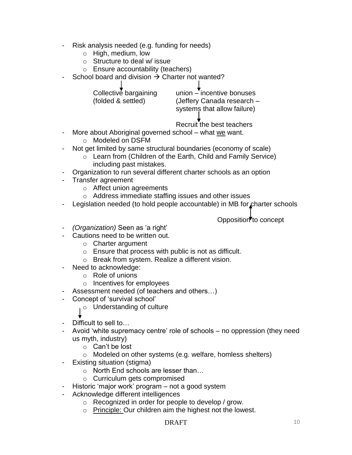- Risk analysis needed (e.g. funding for needs)
	- o High, medium, low
	- o Structure to deal w/ issue
	- o Ensure accountability (teachers)
- School board and division  $\rightarrow$  Charter not wanted?

| Collective bargaining | union – incentive bonuses   |
|-----------------------|-----------------------------|
| (folded & settled)    | (Jeffery Canada research -  |
|                       | systems that allow failure) |

Recruit the best teachers

- More about Aboriginal governed school what we want. o Modeled on DSFM
- Not get limited by same structural boundaries (economy of scale)
	- o Learn from (Children of the Earth, Child and Family Service) including past mistakes.
- Organization to run several different charter schools as an option
- Transfer agreement
	- o Affect union agreements
	- o Address immediate staffing issues and other issues
- Legislation needed (to hold people accountable) in MB for charter schools

Opposition<sup>to</sup> concept

- *(Organization)* Seen as 'a right'
- Cautions need to be written out.
	- o Charter argument
	- o Ensure that process with public is not as difficult.
	- o Break from system. Realize a different vision.
- Need to acknowledge:
	- o Role of unions
	- o Incentives for employees
- Assessment needed (of teachers and others…)
- Concept of 'survival school'
	- o Understanding of culture

- Difficult to sell to…
- Avoid 'white supremacy centre' role of schools no oppression (they need us myth, industry)
	- o Can't be lost
	- o Modeled on other systems (e.g. welfare, homless shelters)
- Existing situation (stigma)
	- o North End schools are lesser than…
	- o Curriculum gets compromised
- Historic 'major work' program not a good system
- Acknowledge different intelligences
	- o Recognized in order for people to develop / grow.
	- o Principle: Our children aim the highest not the lowest.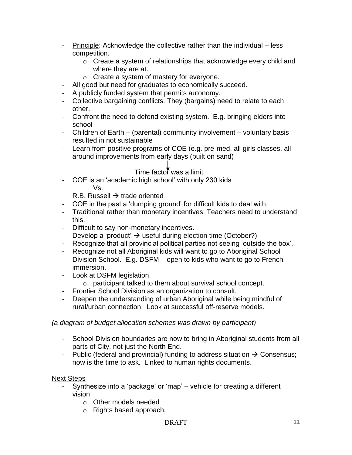- Principle: Acknowledge the collective rather than the individual less competition.
	- o Create a system of relationships that acknowledge every child and where they are at.
	- o Create a system of mastery for everyone.
- All good but need for graduates to economically succeed.
- A publicly funded system that permits autonomy.
- Collective bargaining conflicts. They (bargains) need to relate to each other.
- Confront the need to defend existing system. E.g. bringing elders into school
- Children of Earth (parental) community involvement voluntary basis resulted in not sustainable
- Learn from positive programs of COE (e.g. pre-med, all girls classes, all around improvements from early days (built on sand)

# Time factor was a limit

- COE is an 'academic high school' with only 230 kids Vs.

R.B. Russell  $\rightarrow$  trade oriented

- COE in the past a 'dumping ground' for difficult kids to deal with.
- Traditional rather than monetary incentives. Teachers need to understand this.
- Difficult to say non-monetary incentives.
- Develop a 'product'  $\rightarrow$  useful during election time (October?)
- Recognize that all provincial political parties not seeing 'outside the box'.
- Recognize not all Aboriginal kids will want to go to Aboriginal School Division School. E.g. DSFM – open to kids who want to go to French immersion.
- Look at DSFM legislation.
	- o participant talked to them about survival school concept.
- Frontier School Division as an organization to consult.
- Deepen the understanding of urban Aboriginal while being mindful of rural/urban connection. Look at successful off-reserve models.

#### *(a diagram of budget allocation schemes was drawn by participant)*

- School Division boundaries are now to bring in Aboriginal students from all parts of City, not just the North End.
- Public (federal and provincial) funding to address situation  $\rightarrow$  Consensus; now is the time to ask. Linked to human rights documents.

#### **Next Steps**

- Synthesize into a 'package' or 'map' vehicle for creating a different vision
	- o Other models needed
	- o Rights based approach.